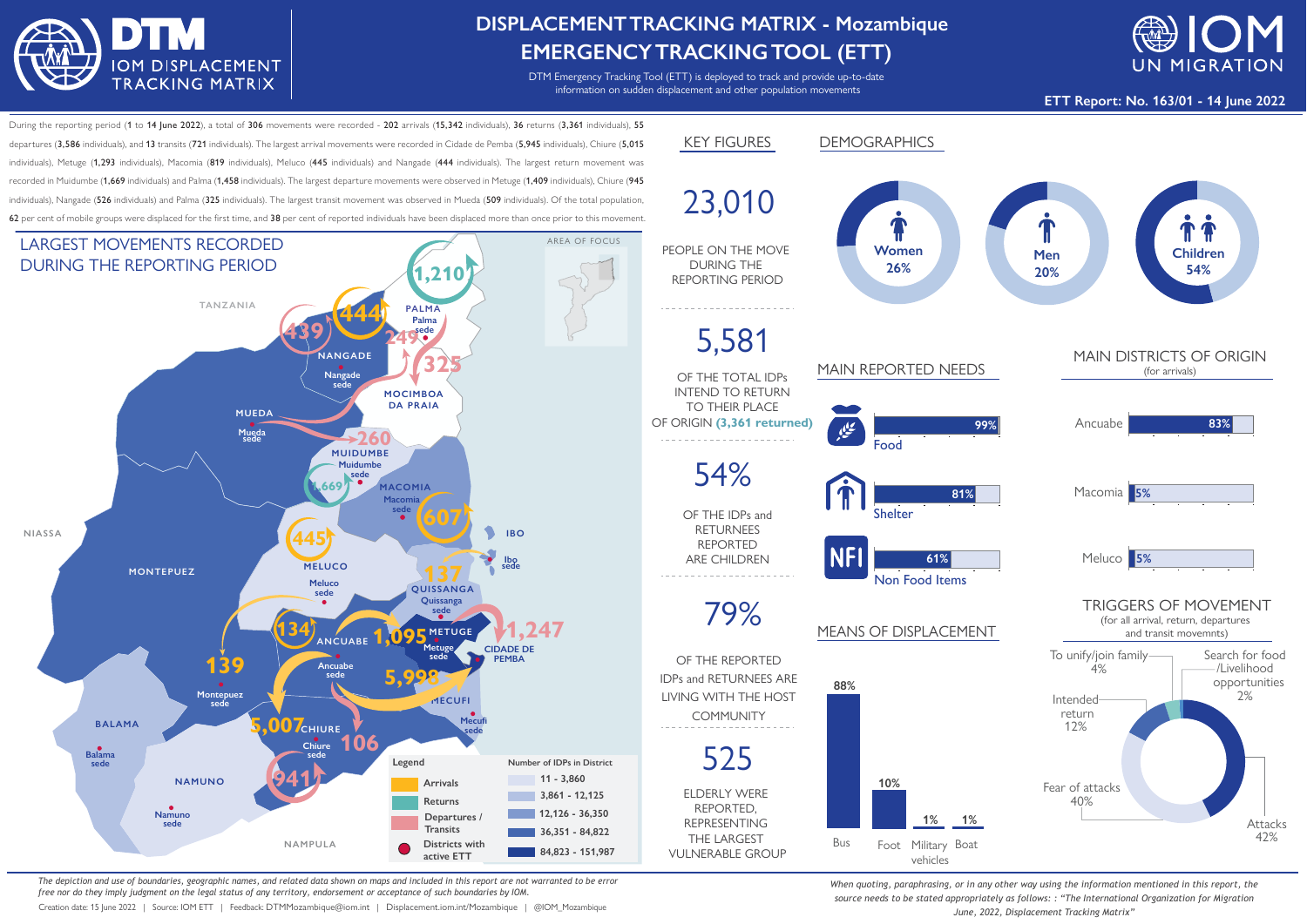

## **DISPLACEMENTTRACKING MATRIX - Mozambique EMERGENCYTRACKINGTOOL (ETT)**

DTM Emergency Tracking Tool (ETT) is deployed to track and provide up-to-date information on sudden displacement and other population movements



**ETT Report: No. 163/01 - 14 June 2022**

During the reporting period (1 to 14 June 2022), a total of 306 movements were recorded - 202 arrivals (15,342 individuals), 36 returns (3,361 individuals), 55 departures (3,586 individuals), and 13 transits (721 individuals). The largest arrival movements were recorded in Cidade de Pemba (5,945 individuals), Chiure (5,015 individuals), Metuge (1,293 individuals), Macomia (819 individuals), Meluco (445 individuals) and Nangade (444 individuals). The largest return movement was recorded in Muidumbe (1,669 individuals) and Palma (1,458 individuals). The largest departure movements were observed in Metuge (1,409 individuals), Chiure (945 individuals), Nangade (526 individuals) and Palma (325 individuals). The largest transit movement was observed in Mueda (509 individuals). Of the total population, 62 per cent of mobile groups were displaced for the first time, and 38 per cent of reported individuals have been displaced more than once prior to this movement.



*The depiction and use of boundaries, geographic names, and related data shown on maps and included in this report are not warranted to be error free nor do they imply judgment on the legal status of any territory, endorsement or acceptance of such boundaries by IOM.*

Creation date: 15 June 2022 | Source: IOM ETT | Feedback: DTMMozambique@iom.int | Displacement.iom.int/Mozambique | @IOM\_Mozambique



*When quoting, paraphrasing, or in any other way using the information mentioned in this report, the source needs to be stated appropriately as follows: : "The International Organization for Migration June, 2022, Displacement Tracking Matrix"*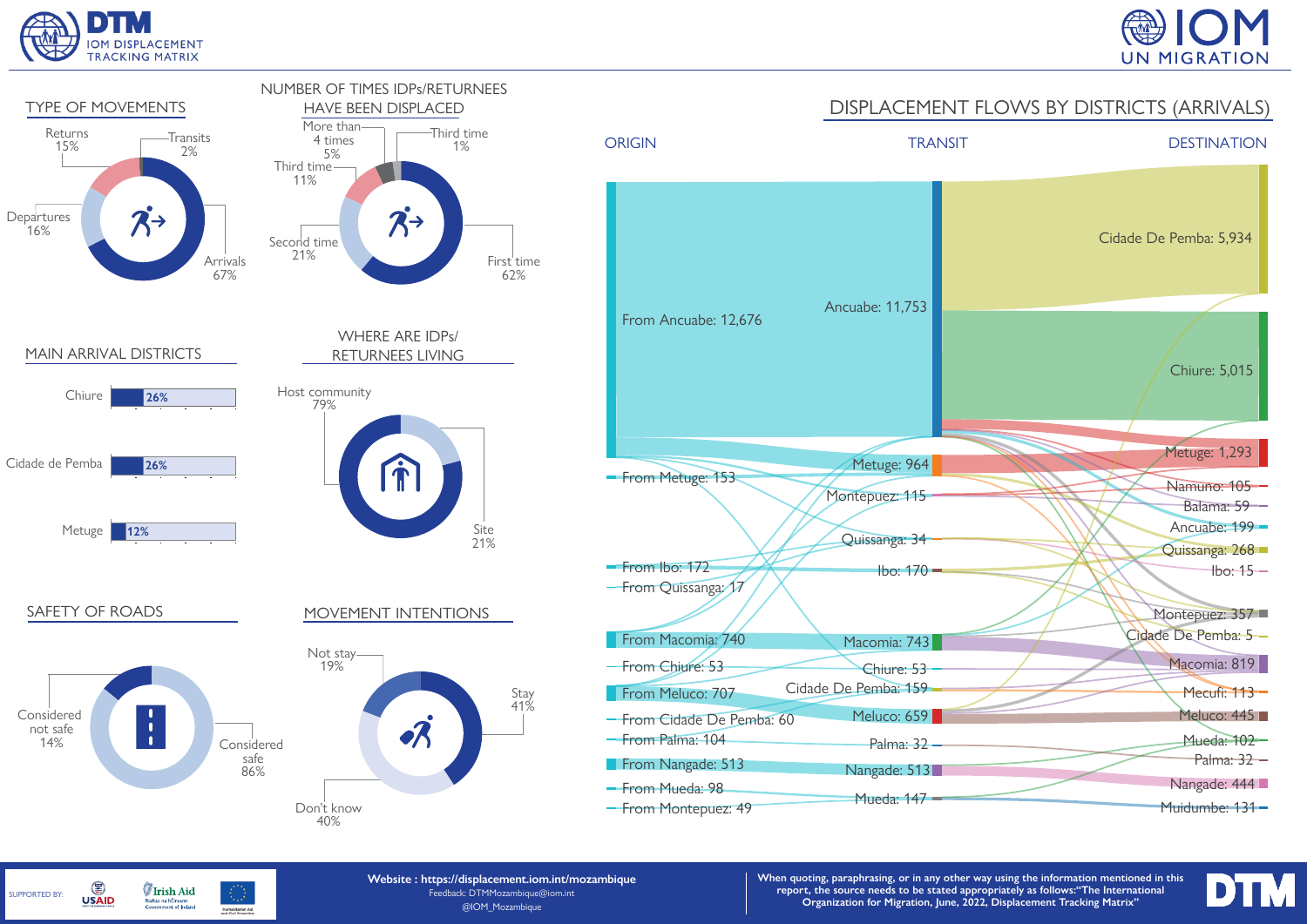

SUPPORTED BY:

G

**USAID** 

**Irish Aid** 

Rialtas na hÉireann<br>Government of Ireland

Humanitarian Aid





**Website : https://displacement.iom.int/mozambique** Feedback: DTMMozambique@iom.int @IOM\_Mozambique

**When quoting, paraphrasing, or in any other way using the information mentioned in this report, the source needs to be stated appropriately as follows:"The International Organization for Migration, June, 2022, Displacement Tracking Matrix"**